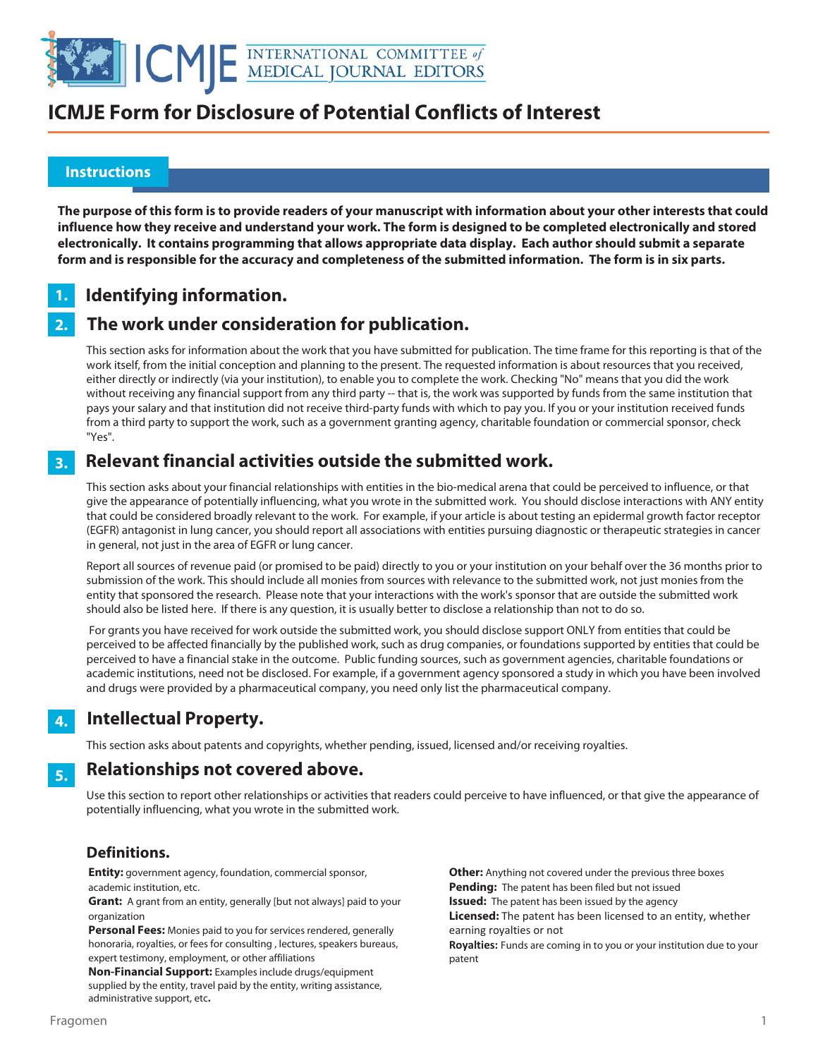

### **Instructions**

 

> **The purpose of this form is to provide readers of your manuscript with information about your other interests that could influence how they receive and understand your work. The form is designed to be completed electronically and stored electronically. It contains programming that allows appropriate data display. Each author should submit a separate form and is responsible for the accuracy and completeness of the submitted information. The form is in six parts.**

### **Identifying information. 1.**

### **The work under consideration for publication. 2.**

This section asks for information about the work that you have submitted for publication. The time frame for this reporting is that of the work itself, from the initial conception and planning to the present. The requested information is about resources that you received, either directly or indirectly (via your institution), to enable you to complete the work. Checking "No" means that you did the work without receiving any financial support from any third party -- that is, the work was supported by funds from the same institution that pays your salary and that institution did not receive third-party funds with which to pay you. If you or your institution received funds from a third party to support the work, such as a government granting agency, charitable foundation or commercial sponsor, check "Yes".

#### **Relevant financial activities outside the submitted work. 3.**

This section asks about your financial relationships with entities in the bio-medical arena that could be perceived to influence, or that give the appearance of potentially influencing, what you wrote in the submitted work. You should disclose interactions with ANY entity that could be considered broadly relevant to the work. For example, if your article is about testing an epidermal growth factor receptor (EGFR) antagonist in lung cancer, you should report all associations with entities pursuing diagnostic or therapeutic strategies in cancer in general, not just in the area of EGFR or lung cancer.

Report all sources of revenue paid (or promised to be paid) directly to you or your institution on your behalf over the 36 months prior to submission of the work. This should include all monies from sources with relevance to the submitted work, not just monies from the entity that sponsored the research. Please note that your interactions with the work's sponsor that are outside the submitted work should also be listed here. If there is any question, it is usually better to disclose a relationship than not to do so.

 For grants you have received for work outside the submitted work, you should disclose support ONLY from entities that could be perceived to be affected financially by the published work, such as drug companies, or foundations supported by entities that could be perceived to have a financial stake in the outcome. Public funding sources, such as government agencies, charitable foundations or academic institutions, need not be disclosed. For example, if a government agency sponsored a study in which you have been involved and drugs were provided by a pharmaceutical company, you need only list the pharmaceutical company.

### **Intellectual Property. 4.**

This section asks about patents and copyrights, whether pending, issued, licensed and/or receiving royalties.

#### **Relationships not covered above. 5.**

Use this section to report other relationships or activities that readers could perceive to have influenced, or that give the appearance of potentially influencing, what you wrote in the submitted work.

## **Definitions.**

**Entity:** government agency, foundation, commercial sponsor, academic institution, etc.

**Grant:** A grant from an entity, generally [but not always] paid to your organization

**Personal Fees:** Monies paid to you for services rendered, generally honoraria, royalties, or fees for consulting , lectures, speakers bureaus, expert testimony, employment, or other affiliations

**Non-Financial Support:** Examples include drugs/equipment supplied by the entity, travel paid by the entity, writing assistance, administrative support, etc**.**

**Other:** Anything not covered under the previous three boxes **Pending:** The patent has been filed but not issued **Issued:** The patent has been issued by the agency **Licensed:** The patent has been licensed to an entity, whether earning royalties or not

**Royalties:** Funds are coming in to you or your institution due to your patent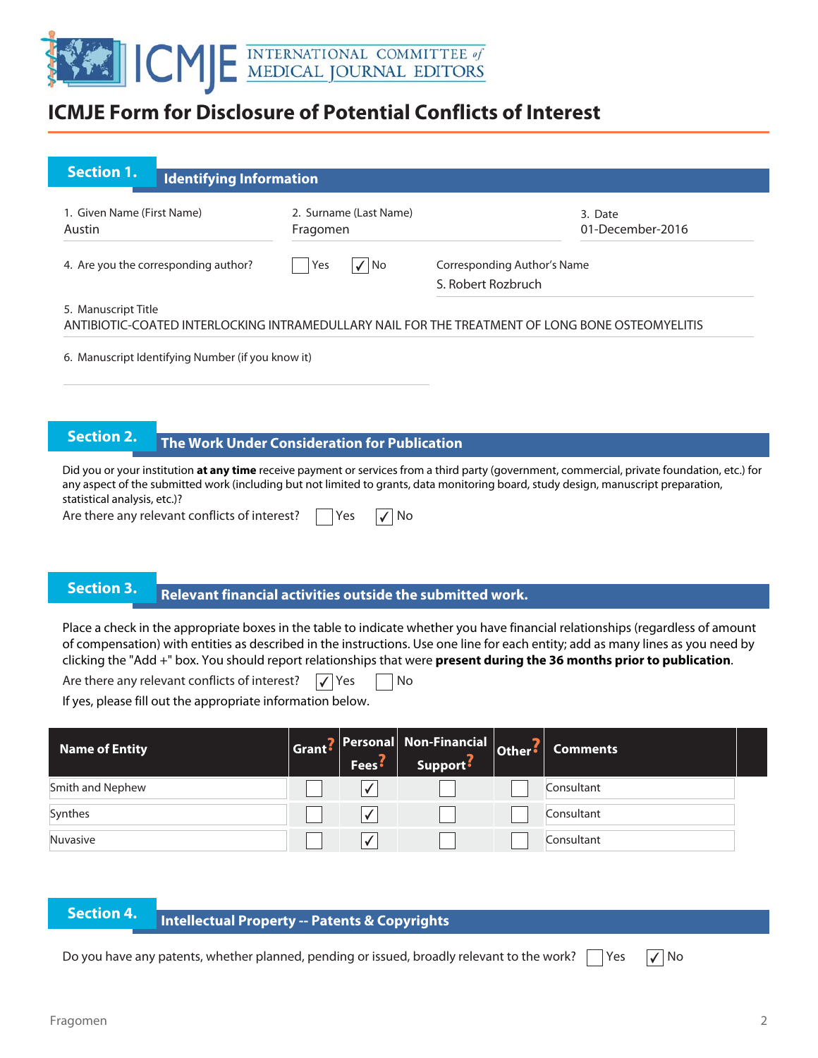

|                                      | 2. Surname (Last Name)<br>Fragomen | 3. Date<br>01-December-2016                                                                     |
|--------------------------------------|------------------------------------|-------------------------------------------------------------------------------------------------|
| 4. Are you the corresponding author? |                                    | Corresponding Author's Name<br>S. Robert Rozbruch                                               |
|                                      |                                    | ANTIBIOTIC-COATED INTERLOCKING INTRAMEDULLARY NAIL FOR THE TREATMENT OF LONG BONE OSTEOMYELITIS |
|                                      |                                    |                                                                                                 |
|                                      | 1. Given Name (First Name)         | $\sqrt{N}$<br>Yes<br>6. Manuscript Identifying Number (if you know it)                          |

## **The Work Under Consideration for Publication**

Did you or your institution **at any time** receive payment or services from a third party (government, commercial, private foundation, etc.) for any aspect of the submitted work (including but not limited to grants, data monitoring board, study design, manuscript preparation, statistical analysis, etc.)?

Are there any relevant conflicts of interest?  $\Box$  Yes  $\Box$  No

|  | $\sim$ |  |
|--|--------|--|
|  |        |  |

# **Relevant financial activities outside the submitted work. Section 3. Relevant financial activities outset**

Place a check in the appropriate boxes in the table to indicate whether you have financial relationships (regardless of amount of compensation) with entities as described in the instructions. Use one line for each entity; add as many lines as you need by clicking the "Add +" box. You should report relationships that were **present during the 36 months prior to publication**.

Are there any relevant conflicts of interest?  $\sqrt{\ }$  Yes  $\Box$  No

If yes, please fill out the appropriate information below.

| Name of Entity   | Grant? | Fees! | Personal Non-Financial Other?<br>Support <sup>:</sup> | <b>Comments</b> |  |
|------------------|--------|-------|-------------------------------------------------------|-----------------|--|
| Smith and Nephew |        |       |                                                       | Consultant      |  |
| Synthes          |        |       |                                                       | Consultant      |  |
| <b>Nuvasive</b>  |        |       |                                                       | Consultant      |  |

| <b>Section 4</b> |  |  |
|------------------|--|--|
|                  |  |  |
|                  |  |  |

### **Intellectual Property -- Patents & Copyrights**

Do you have any patents, whether planned, pending or issued, broadly relevant to the work?  $\Box$  Yes  $\Box$  No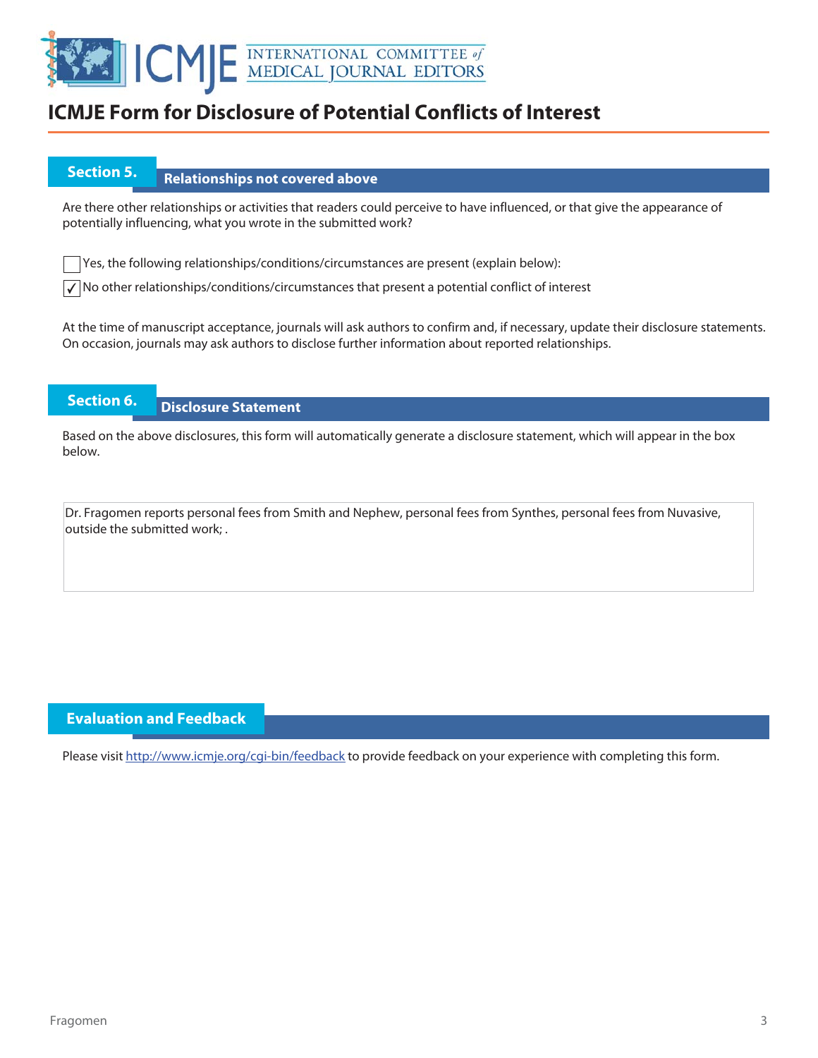

## **Section 5.** Relationships not covered above

Are there other relationships or activities that readers could perceive to have influenced, or that give the appearance of potentially influencing, what you wrote in the submitted work?

Yes, the following relationships/conditions/circumstances are present (explain below):

 $\sqrt{\ }$  No other relationships/conditions/circumstances that present a potential conflict of interest

At the time of manuscript acceptance, journals will ask authors to confirm and, if necessary, update their disclosure statements. On occasion, journals may ask authors to disclose further information about reported relationships.

## **Disclosure Statement Section 6.**

Based on the above disclosures, this form will automatically generate a disclosure statement, which will appear in the box below.

Dr. Fragomen reports personal fees from Smith and Nephew, personal fees from Synthes, personal fees from Nuvasive, outside the submitted work; .

## **Evaluation and Feedback**

Please visit http://www.icmje.org/cgi-bin/feedback to provide feedback on your experience with completing this form.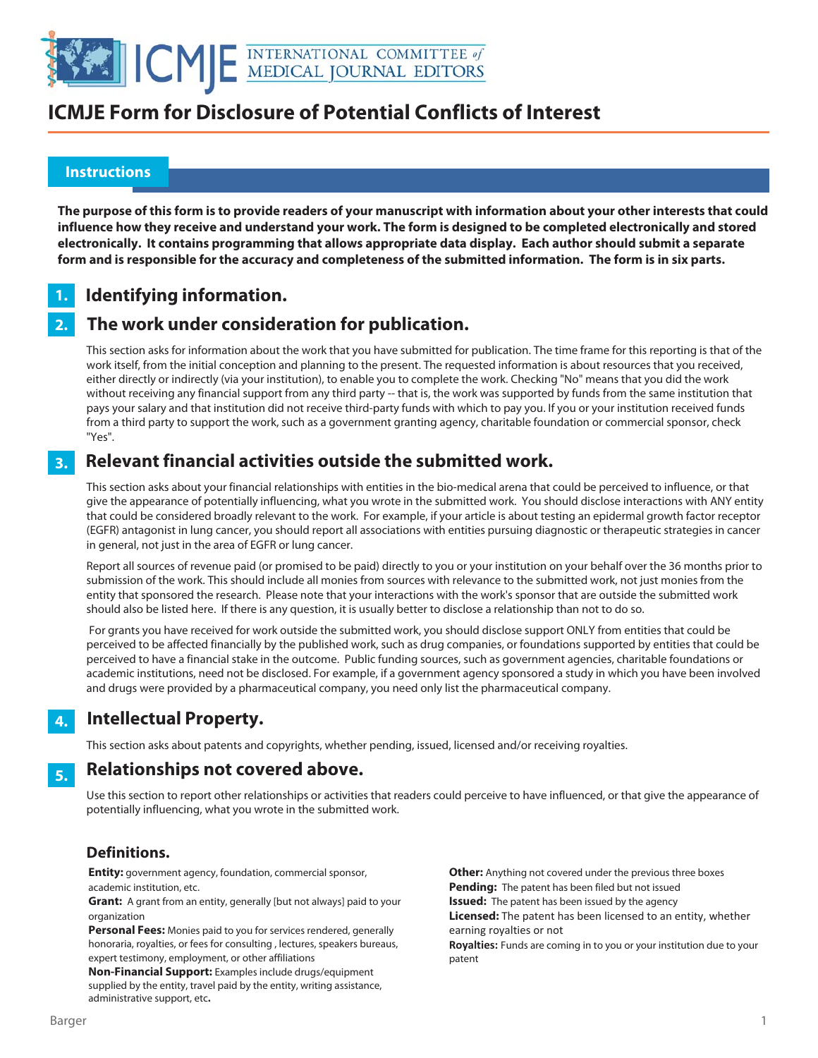

### **Instructions**

 

> **The purpose of this form is to provide readers of your manuscript with information about your other interests that could influence how they receive and understand your work. The form is designed to be completed electronically and stored electronically. It contains programming that allows appropriate data display. Each author should submit a separate form and is responsible for the accuracy and completeness of the submitted information. The form is in six parts.**

### **Identifying information. 1.**

### **The work under consideration for publication. 2.**

This section asks for information about the work that you have submitted for publication. The time frame for this reporting is that of the work itself, from the initial conception and planning to the present. The requested information is about resources that you received, either directly or indirectly (via your institution), to enable you to complete the work. Checking "No" means that you did the work without receiving any financial support from any third party -- that is, the work was supported by funds from the same institution that pays your salary and that institution did not receive third-party funds with which to pay you. If you or your institution received funds from a third party to support the work, such as a government granting agency, charitable foundation or commercial sponsor, check "Yes".

#### **Relevant financial activities outside the submitted work. 3.**

This section asks about your financial relationships with entities in the bio-medical arena that could be perceived to influence, or that give the appearance of potentially influencing, what you wrote in the submitted work. You should disclose interactions with ANY entity that could be considered broadly relevant to the work. For example, if your article is about testing an epidermal growth factor receptor (EGFR) antagonist in lung cancer, you should report all associations with entities pursuing diagnostic or therapeutic strategies in cancer in general, not just in the area of EGFR or lung cancer.

Report all sources of revenue paid (or promised to be paid) directly to you or your institution on your behalf over the 36 months prior to submission of the work. This should include all monies from sources with relevance to the submitted work, not just monies from the entity that sponsored the research. Please note that your interactions with the work's sponsor that are outside the submitted work should also be listed here. If there is any question, it is usually better to disclose a relationship than not to do so.

 For grants you have received for work outside the submitted work, you should disclose support ONLY from entities that could be perceived to be affected financially by the published work, such as drug companies, or foundations supported by entities that could be perceived to have a financial stake in the outcome. Public funding sources, such as government agencies, charitable foundations or academic institutions, need not be disclosed. For example, if a government agency sponsored a study in which you have been involved and drugs were provided by a pharmaceutical company, you need only list the pharmaceutical company.

### **Intellectual Property. 4.**

This section asks about patents and copyrights, whether pending, issued, licensed and/or receiving royalties.

#### **Relationships not covered above. 5.**

Use this section to report other relationships or activities that readers could perceive to have influenced, or that give the appearance of potentially influencing, what you wrote in the submitted work.

## **Definitions.**

**Entity:** government agency, foundation, commercial sponsor, academic institution, etc.

**Grant:** A grant from an entity, generally [but not always] paid to your organization

**Personal Fees:** Monies paid to you for services rendered, generally honoraria, royalties, or fees for consulting , lectures, speakers bureaus, expert testimony, employment, or other affiliations

**Non-Financial Support:** Examples include drugs/equipment supplied by the entity, travel paid by the entity, writing assistance, administrative support, etc**.**

**Other:** Anything not covered under the previous three boxes **Pending:** The patent has been filed but not issued **Issued:** The patent has been issued by the agency **Licensed:** The patent has been licensed to an entity, whether earning royalties or not

**Royalties:** Funds are coming in to you or your institution due to your patent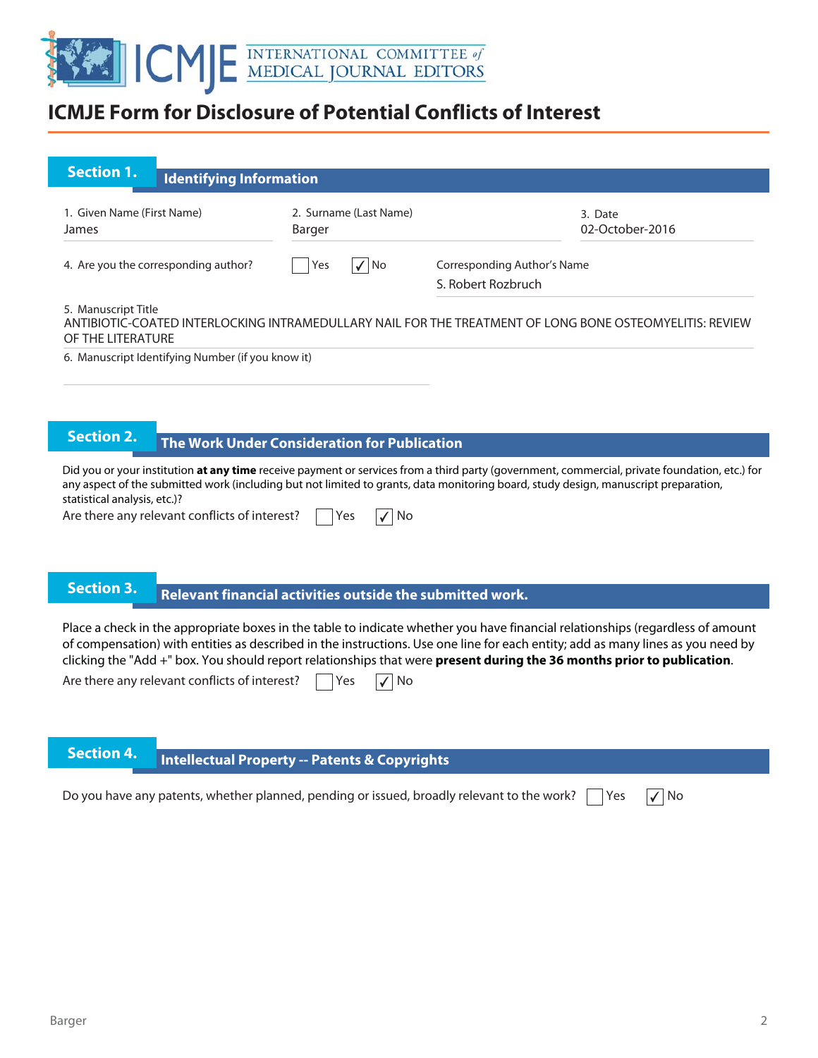

| <b>Section 1.</b><br><b>Identifying Information</b> |                                                     |                                                                                                                                                                                                                                                                                      |
|-----------------------------------------------------|-----------------------------------------------------|--------------------------------------------------------------------------------------------------------------------------------------------------------------------------------------------------------------------------------------------------------------------------------------|
| 1. Given Name (First Name)<br>James                 | 2. Surname (Last Name)<br>Barger                    | 3. Date<br>02-October-2016                                                                                                                                                                                                                                                           |
| 4. Are you the corresponding author?                | Yes<br>  No<br>$\checkmark$                         | Corresponding Author's Name<br>S. Robert Rozbruch                                                                                                                                                                                                                                    |
| 5. Manuscript Title<br>OF THE LITERATURE            |                                                     | ANTIBIOTIC-COATED INTERLOCKING INTRAMEDULLARY NAIL FOR THE TREATMENT OF LONG BONE OSTEOMYELITIS: REVIEW                                                                                                                                                                              |
| 6. Manuscript Identifying Number (if you know it)   |                                                     |                                                                                                                                                                                                                                                                                      |
|                                                     |                                                     |                                                                                                                                                                                                                                                                                      |
|                                                     |                                                     |                                                                                                                                                                                                                                                                                      |
| <b>Section 2.</b>                                   | <b>The Work Under Consideration for Publication</b> |                                                                                                                                                                                                                                                                                      |
| statistical analysis, etc.)?                        |                                                     | Did you or your institution at any time receive payment or services from a third party (government, commercial, private foundation, etc.) for<br>any aspect of the submitted work (including but not limited to grants, data monitoring board, study design, manuscript preparation, |
| Are there any relevant conflicts of interest?       | Yes<br>No                                           |                                                                                                                                                                                                                                                                                      |
|                                                     |                                                     |                                                                                                                                                                                                                                                                                      |
| <b>Section 3.</b><br>$ -$                           | <b>All All Contracts</b><br>.                       | <b>Contract Contract Contract Contract</b>                                                                                                                                                                                                                                           |

### **Relevant financial activities outside the submitted work.**

Place a check in the appropriate boxes in the table to indicate whether you have financial relationships (regardless of amount of compensation) with entities as described in the instructions. Use one line for each entity; add as many lines as you need by clicking the "Add +" box. You should report relationships that were **present during the 36 months prior to publication**.

| Are there any relevant conflicts of interest? | <b>Yes</b> | $\sqrt{}$ No |
|-----------------------------------------------|------------|--------------|
|                                               |            |              |

# **Intellectual Property -- Patents & Copyrights**

|  |  | Do you have any patents, whether planned, pending or issued, broadly relevant to the work? $\Box$ Yes $\Box$ No |  |  |
|--|--|-----------------------------------------------------------------------------------------------------------------|--|--|
|  |  |                                                                                                                 |  |  |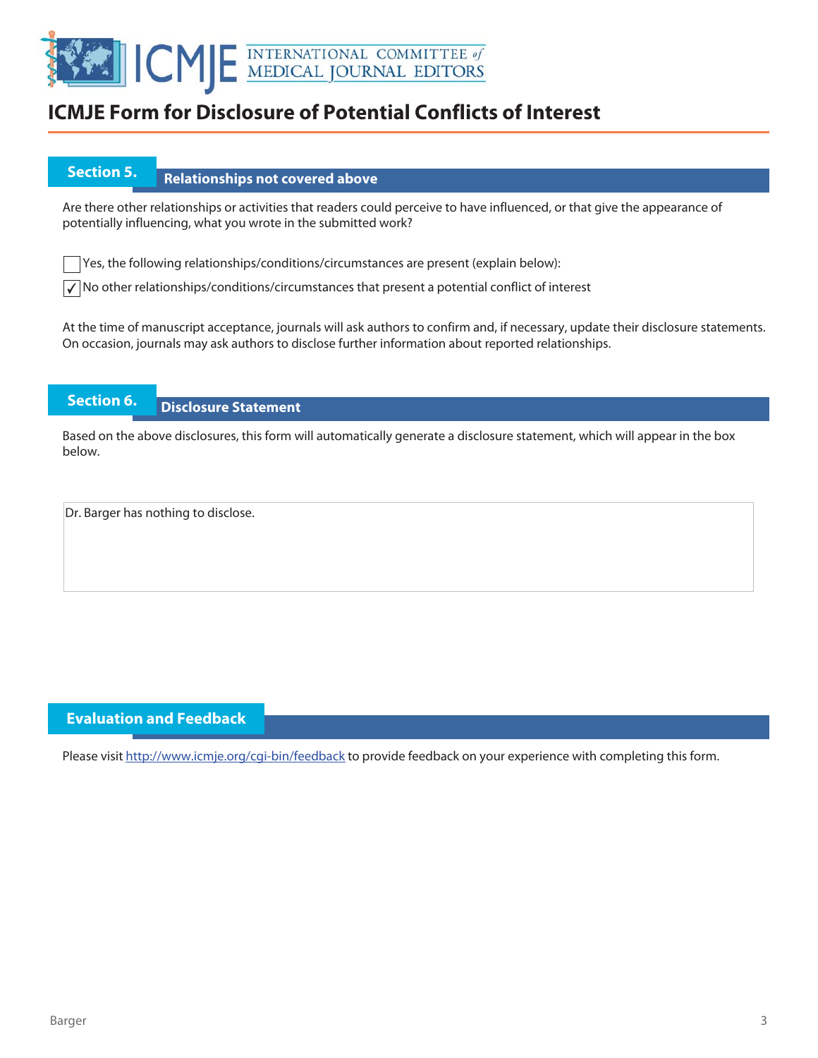

## **Section 5.** Relationships not covered above

Are there other relationships or activities that readers could perceive to have influenced, or that give the appearance of potentially influencing, what you wrote in the submitted work?

Yes, the following relationships/conditions/circumstances are present (explain below):

 $\sqrt{\ }$  No other relationships/conditions/circumstances that present a potential conflict of interest

At the time of manuscript acceptance, journals will ask authors to confirm and, if necessary, update their disclosure statements. On occasion, journals may ask authors to disclose further information about reported relationships.

## **Section 6. Disclosure Statement**

Based on the above disclosures, this form will automatically generate a disclosure statement, which will appear in the box below.

Dr. Barger has nothing to disclose.

## **Evaluation and Feedback**

Please visit http://www.icmje.org/cgi-bin/feedback to provide feedback on your experience with completing this form.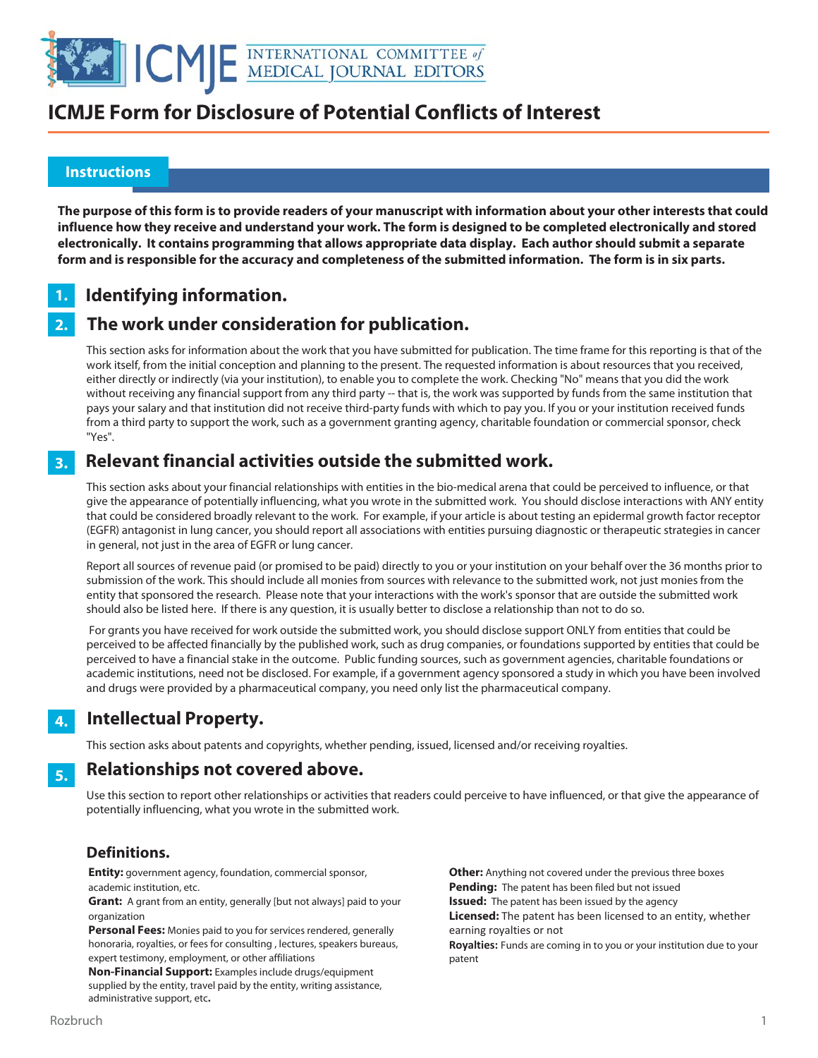

### **Instructions**

 

> **The purpose of this form is to provide readers of your manuscript with information about your other interests that could influence how they receive and understand your work. The form is designed to be completed electronically and stored electronically. It contains programming that allows appropriate data display. Each author should submit a separate form and is responsible for the accuracy and completeness of the submitted information. The form is in six parts.**

### **Identifying information. 1.**

### **The work under consideration for publication. 2.**

This section asks for information about the work that you have submitted for publication. The time frame for this reporting is that of the work itself, from the initial conception and planning to the present. The requested information is about resources that you received, either directly or indirectly (via your institution), to enable you to complete the work. Checking "No" means that you did the work without receiving any financial support from any third party -- that is, the work was supported by funds from the same institution that pays your salary and that institution did not receive third-party funds with which to pay you. If you or your institution received funds from a third party to support the work, such as a government granting agency, charitable foundation or commercial sponsor, check "Yes".

#### **Relevant financial activities outside the submitted work. 3.**

This section asks about your financial relationships with entities in the bio-medical arena that could be perceived to influence, or that give the appearance of potentially influencing, what you wrote in the submitted work. You should disclose interactions with ANY entity that could be considered broadly relevant to the work. For example, if your article is about testing an epidermal growth factor receptor (EGFR) antagonist in lung cancer, you should report all associations with entities pursuing diagnostic or therapeutic strategies in cancer in general, not just in the area of EGFR or lung cancer.

Report all sources of revenue paid (or promised to be paid) directly to you or your institution on your behalf over the 36 months prior to submission of the work. This should include all monies from sources with relevance to the submitted work, not just monies from the entity that sponsored the research. Please note that your interactions with the work's sponsor that are outside the submitted work should also be listed here. If there is any question, it is usually better to disclose a relationship than not to do so.

 For grants you have received for work outside the submitted work, you should disclose support ONLY from entities that could be perceived to be affected financially by the published work, such as drug companies, or foundations supported by entities that could be perceived to have a financial stake in the outcome. Public funding sources, such as government agencies, charitable foundations or academic institutions, need not be disclosed. For example, if a government agency sponsored a study in which you have been involved and drugs were provided by a pharmaceutical company, you need only list the pharmaceutical company.

### **Intellectual Property. 4.**

This section asks about patents and copyrights, whether pending, issued, licensed and/or receiving royalties.

#### **Relationships not covered above. 5.**

Use this section to report other relationships or activities that readers could perceive to have influenced, or that give the appearance of potentially influencing, what you wrote in the submitted work.

## **Definitions.**

**Entity:** government agency, foundation, commercial sponsor, academic institution, etc.

**Grant:** A grant from an entity, generally [but not always] paid to your organization

**Personal Fees:** Monies paid to you for services rendered, generally honoraria, royalties, or fees for consulting , lectures, speakers bureaus, expert testimony, employment, or other affiliations

**Non-Financial Support:** Examples include drugs/equipment supplied by the entity, travel paid by the entity, writing assistance, administrative support, etc**.**

**Other:** Anything not covered under the previous three boxes **Pending:** The patent has been filed but not issued **Issued:** The patent has been issued by the agency **Licensed:** The patent has been licensed to an entity, whether earning royalties or not

**Royalties:** Funds are coming in to you or your institution due to your patent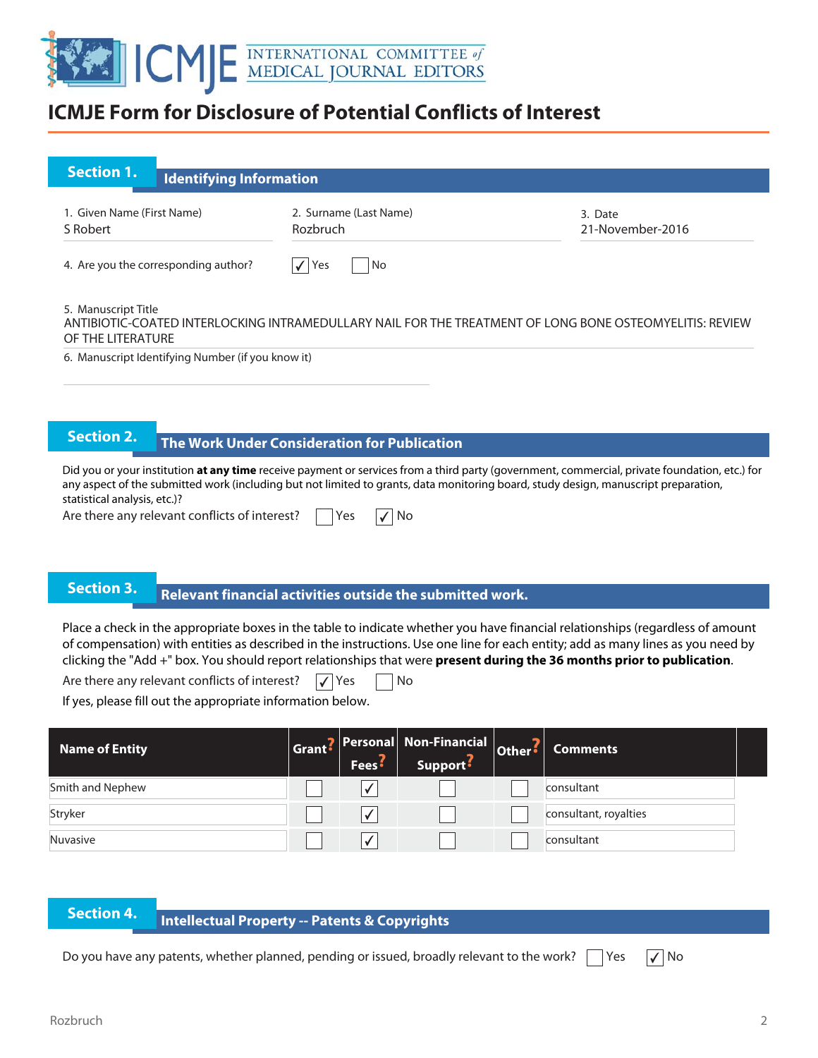

| <b>Section 1.</b>                      | <b>Identifying Information</b>       |                                    |                             |
|----------------------------------------|--------------------------------------|------------------------------------|-----------------------------|
| 1. Given Name (First Name)<br>S Robert |                                      | 2. Surname (Last Name)<br>Rozbruch | 3. Date<br>21-November-2016 |
|                                        | 4. Are you the corresponding author? | Yes<br>No                          |                             |

5. Manuscript Title ANTIBIOTIC-COATED INTERLOCKING INTRAMEDULLARY NAIL FOR THE TREATMENT OF LONG BONE OSTEOMYELITIS: REVIEW OF THE LITERATURE

6. Manuscript Identifying Number (if you know it)

# **The Work Under Consideration for Publication**

Did you or your institution **at any time** receive payment or services from a third party (government, commercial, private foundation, etc.) for any aspect of the submitted work (including but not limited to grants, data monitoring board, study design, manuscript preparation, statistical analysis, etc.)?

Are there any relevant conflicts of interest?  $\Box$  Yes  $\Box$  No

## **Relevant financial activities outside the submitted work. Section 3. Relevant financial activities outset**

Place a check in the appropriate boxes in the table to indicate whether you have financial relationships (regardless of amount of compensation) with entities as described in the instructions. Use one line for each entity; add as many lines as you need by clicking the "Add +" box. You should report relationships that were **present during the 36 months prior to publication**.

Are there any relevant conflicts of interest?  $\sqrt{\ }$  Yes  $\Box$  No

If yes, please fill out the appropriate information below.

| <b>Name of Entity</b> | Fees <sup>5</sup> | Grant? Personal Non-Financial Other?<br>Support <sup>5</sup> | <b>Comments</b>       |  |
|-----------------------|-------------------|--------------------------------------------------------------|-----------------------|--|
| Smith and Nephew      |                   |                                                              | consultant            |  |
| Stryker               |                   |                                                              | consultant, royalties |  |
| <b>Nuvasive</b>       |                   |                                                              | consultant            |  |

| <b>Section 4</b> |  |  |
|------------------|--|--|
|                  |  |  |
|                  |  |  |

### **Intellectual Property -- Patents & Copyrights**

Do you have any patents, whether planned, pending or issued, broadly relevant to the work?  $\Box$  Yes  $\Box$  No